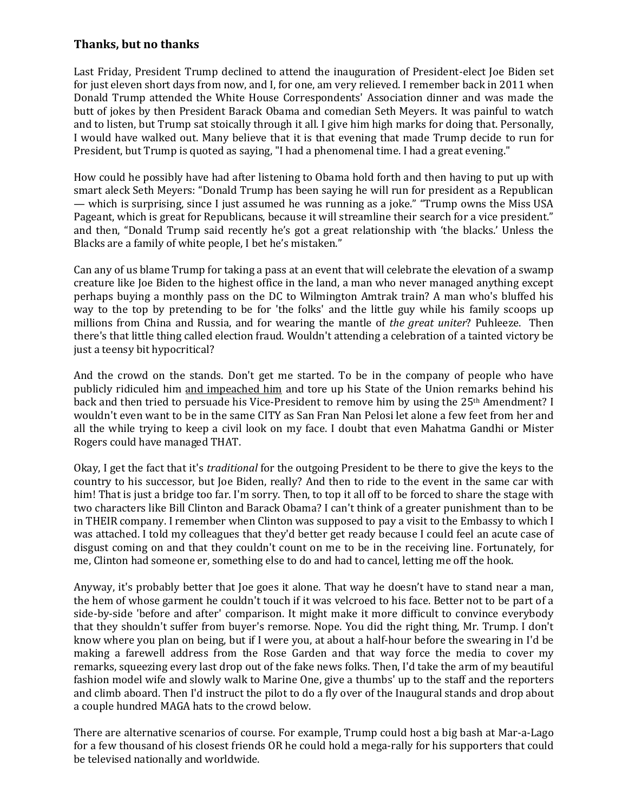## **Thanks, but no thanks**

Last Friday, President Trump declined to attend the inauguration of President-elect Joe Biden set for just eleven short days from now, and I, for one, am very relieved. I remember back in 2011 when Donald Trump attended the White House Correspondents' Association dinner and was made the butt of jokes by then President Barack Obama and comedian Seth Meyers. It was painful to watch and to listen, but Trump sat stoically through it all. I give him high marks for doing that. Personally, I would have walked out. Many believe that it is that evening that made Trump decide to run for President, but Trump is quoted as saying, "I had a phenomenal time. I had a great evening."

How could he possibly have had after listening to Obama hold forth and then having to put up with smart aleck Seth Meyers: "Donald Trump has been saying he will run for president as a Republican — which is surprising, since I just assumed he was running as a joke." "Trump owns the Miss USA Pageant, which is great for Republicans, because it will streamline their search for a vice president." and then, "Donald Trump said recently he's got a great relationship with 'the blacks.' Unless the Blacks are a family of white people, I bet he's mistaken."

Can any of us blame Trump for taking a pass at an event that will celebrate the elevation of a swamp creature like Joe Biden to the highest office in the land, a man who never managed anything except perhaps buying a monthly pass on the DC to Wilmington Amtrak train? A man who's bluffed his way to the top by pretending to be for 'the folks' and the little guy while his family scoops up millions from China and Russia, and for wearing the mantle of *the great uniter*? Puhleeze. Then there's that little thing called election fraud. Wouldn't attending a celebration of a tainted victory be just a teensy bit hypocritical?

And the crowd on the stands. Don't get me started. To be in the company of people who have publicly ridiculed him and impeached him and tore up his State of the Union remarks behind his back and then tried to persuade his Vice-President to remove him by using the 25<sup>th</sup> Amendment? I wouldn't even want to be in the same CITY as San Fran Nan Pelosi let alone a few feet from her and all the while trying to keep a civil look on my face. I doubt that even Mahatma Gandhi or Mister Rogers could have managed THAT.

Okay, I get the fact that it's *traditional* for the outgoing President to be there to give the keys to the country to his successor, but Joe Biden, really? And then to ride to the event in the same car with him! That is just a bridge too far. I'm sorry. Then, to top it all off to be forced to share the stage with two characters like Bill Clinton and Barack Obama? I can't think of a greater punishment than to be in THEIR company. I remember when Clinton was supposed to pay a visit to the Embassy to which I was attached. I told my colleagues that they'd better get ready because I could feel an acute case of disgust coming on and that they couldn't count on me to be in the receiving line. Fortunately, for me, Clinton had someone er, something else to do and had to cancel, letting me off the hook.

Anyway, it's probably better that Joe goes it alone. That way he doesn't have to stand near a man, the hem of whose garment he couldn't touch if it was velcroed to his face. Better not to be part of a side-by-side 'before and after' comparison. It might make it more difficult to convince everybody that they shouldn't suffer from buyer's remorse. Nope. You did the right thing, Mr. Trump. I don't know where you plan on being, but if I were you, at about a half-hour before the swearing in I'd be making a farewell address from the Rose Garden and that way force the media to cover my remarks, squeezing every last drop out of the fake news folks. Then, I'd take the arm of my beautiful fashion model wife and slowly walk to Marine One, give a thumbs' up to the staff and the reporters and climb aboard. Then I'd instruct the pilot to do a fly over of the Inaugural stands and drop about a couple hundred MAGA hats to the crowd below.

There are alternative scenarios of course. For example, Trump could host a big bash at Mar-a-Lago for a few thousand of his closest friends OR he could hold a mega-rally for his supporters that could be televised nationally and worldwide.